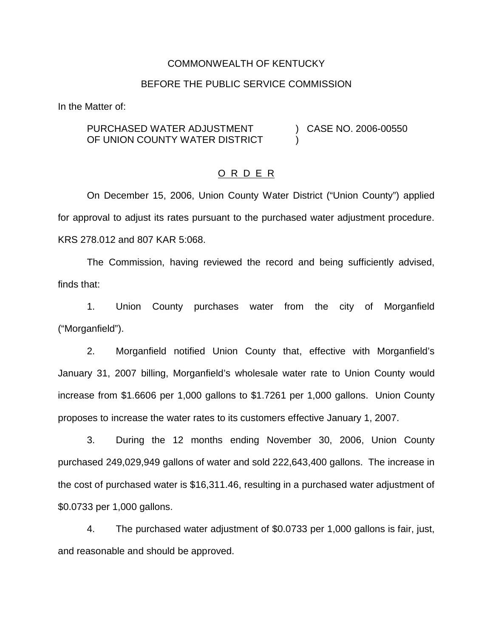#### COMMONWEALTH OF KENTUCKY

#### BEFORE THE PUBLIC SERVICE COMMISSION

In the Matter of:

PURCHASED WATER ADJUSTMENT OF UNION COUNTY WATER DISTRICT ) CASE NO. 2006-00550 )

#### O R D E R

On December 15, 2006, Union County Water District ("Union County") applied for approval to adjust its rates pursuant to the purchased water adjustment procedure. KRS 278.012 and 807 KAR 5:068.

The Commission, having reviewed the record and being sufficiently advised, finds that:

1. Union County purchases water from the city of Morganfield ("Morganfield").

2. Morganfield notified Union County that, effective with Morganfield's January 31, 2007 billing, Morganfield's wholesale water rate to Union County would increase from \$1.6606 per 1,000 gallons to \$1.7261 per 1,000 gallons. Union County proposes to increase the water rates to its customers effective January 1, 2007.

3. During the 12 months ending November 30, 2006, Union County purchased 249,029,949 gallons of water and sold 222,643,400 gallons. The increase in the cost of purchased water is \$16,311.46, resulting in a purchased water adjustment of \$0.0733 per 1,000 gallons.

4. The purchased water adjustment of \$0.0733 per 1,000 gallons is fair, just, and reasonable and should be approved.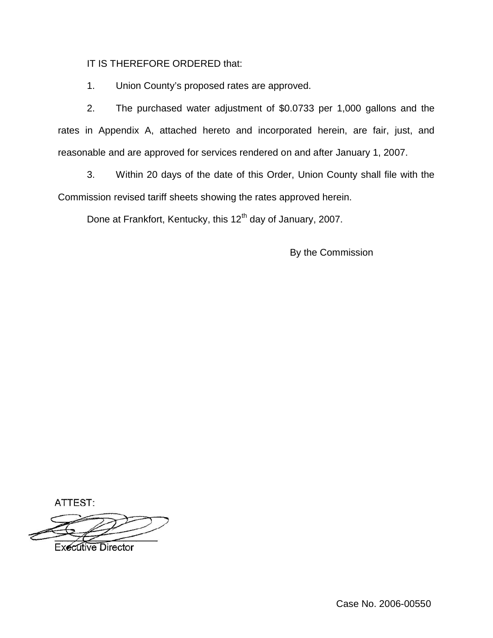# IT IS THEREFORE ORDERED that:

1. Union County's proposed rates are approved.

2. The purchased water adjustment of \$0.0733 per 1,000 gallons and the rates in Appendix A, attached hereto and incorporated herein, are fair, just, and reasonable and are approved for services rendered on and after January 1, 2007.

3. Within 20 days of the date of this Order, Union County shall file with the Commission revised tariff sheets showing the rates approved herein.

Done at Frankfort, Kentucky, this 12<sup>th</sup> day of January, 2007.

By the Commission

ATTEST:

**Executive Director** 

Case No. 2006-00550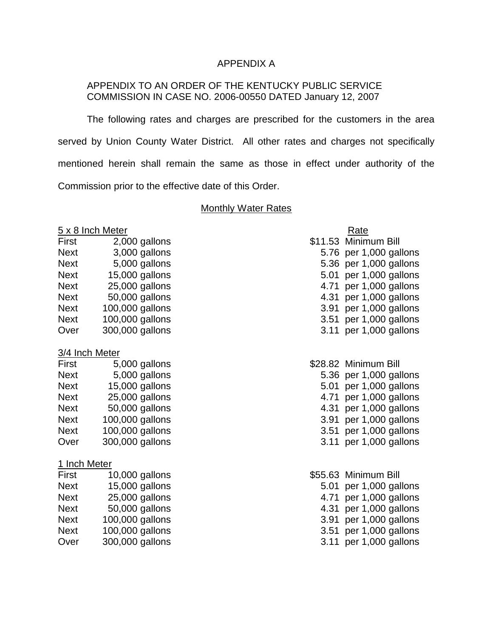## APPENDIX A

# APPENDIX TO AN ORDER OF THE KENTUCKY PUBLIC SERVICE COMMISSION IN CASE NO. 2006-00550 DATED January 12, 2007

The following rates and charges are prescribed for the customers in the area served by Union County Water District. All other rates and charges not specifically mentioned herein shall remain the same as those in effect under authority of the Commission prior to the effective date of this Order.

#### **Monthly Water Rates**

#### $5 \times 8$  Inch Meter

| 2,000 gallons   | \$11.53 Minimum Bill   |
|-----------------|------------------------|
| 3,000 gallons   | 5.76 per 1,000 gallons |
| 5,000 gallons   | 5.36 per 1,000 gallons |
| 15,000 gallons  | 5.01 per 1,000 gallons |
| 25,000 gallons  | 4.71 per 1,000 gallons |
| 50,000 gallons  | 4.31 per 1,000 gallons |
| 100,000 gallons | 3.91 per 1,000 gallons |
| 100,000 gallons | 3.51 per 1,000 gallons |
| 300,000 gallons | 3.11 per 1,000 gallons |
|                 |                        |

#### 3/4 Inch Meter

| First       | 5,000 gallons   | \$28.82 Minimum Bill |                        |
|-------------|-----------------|----------------------|------------------------|
| <b>Next</b> | 5,000 gallons   |                      | 5.36 per 1,000 gallons |
| <b>Next</b> | 15,000 gallons  |                      | 5.01 per 1,000 gallons |
| <b>Next</b> | 25,000 gallons  |                      | 4.71 per 1,000 gallons |
| <b>Next</b> | 50,000 gallons  |                      | 4.31 per 1,000 gallons |
| <b>Next</b> | 100,000 gallons |                      | 3.91 per 1,000 gallons |
| <b>Next</b> | 100,000 gallons |                      | 3.51 per 1,000 gallons |
| Over        | 300,000 gallons |                      | 3.11 per 1,000 gallons |

#### 1 Inch Meter

| First       | 10,000 gallons  |
|-------------|-----------------|
| <b>Next</b> | 15,000 gallons  |
| <b>Next</b> | 25,000 gallons  |
| <b>Next</b> | 50,000 gallons  |
| <b>Next</b> | 100,000 gallons |
| <b>Next</b> | 100,000 gallons |
| Over        | 300,000 gallons |

|         | Rate              |
|---------|-------------------|
| \$11.53 | Minimum Bill      |
| 5.76    | per 1,000 gallons |
| 5.36    | per 1,000 gallons |
| 5.01    | per 1,000 gallons |
| 4.71    | per 1,000 gallons |
| 4.31    | per 1,000 gallons |
| 3.91    | per 1,000 gallons |
| 3.51    | per 1,000 gallons |
| 3.11    | per 1.000 gallons |

|      | \$28.82 Minimum Bill |
|------|----------------------|
| 5.36 | per 1,000 gallons    |
| 5.01 | per 1,000 gallons    |
| 4.71 | per 1,000 gallons    |
| 4.31 | per 1,000 gallons    |
| 3.91 | per 1,000 gallons    |
| 3.51 | per 1,000 gallons    |
| 3.11 | per 1,000 gallons    |
|      |                      |

\$55.63 Minimum Bill 5.01 per 1,000 gallons 4.71 per 1,000 gallons 4.31 per 1,000 gallons 3.91 per 1,000 gallons 3.51 per 1,000 gallons gallons 3.11 per 1,000 gallons